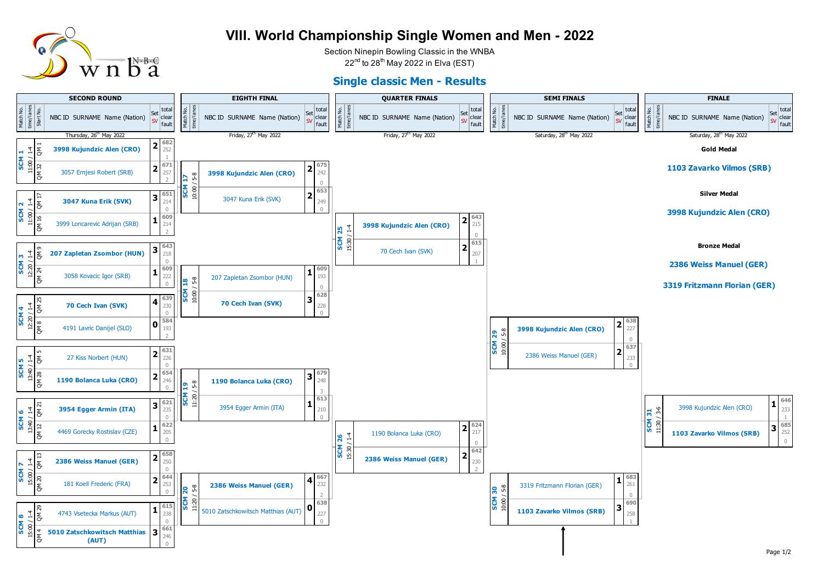

## **VIII. World Championship Single Women and Men - 2022**

Section Ninepin Bowling Classic in the WNBA  $22<sup>nd</sup>$  to  $28<sup>th</sup>$  May 2022 in Elva (EST)

## **Single classic Men - Results**